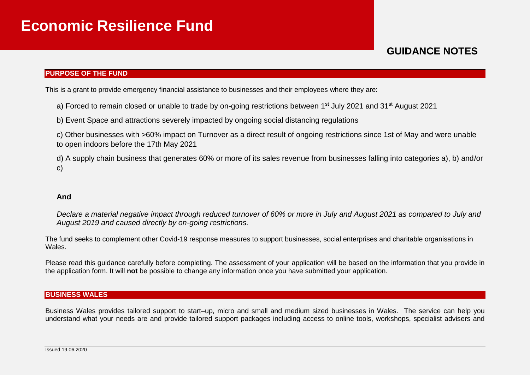# **GUIDANCE NOTES**

#### **PURPOSE OF THE FUND**

This is a grant to provide emergency financial assistance to businesses and their employees where they are:

a) Forced to remain closed or unable to trade by on-going restrictions between 1<sup>st</sup> July 2021 and 31<sup>st</sup> August 2021

b) Event Space and attractions severely impacted by ongoing social distancing regulations

c) Other businesses with >60% impact on Turnover as a direct result of ongoing restrictions since 1st of May and were unable to open indoors before the 17th May 2021

d) A supply chain business that generates 60% or more of its sales revenue from businesses falling into categories a), b) and/or c)

#### **And**

*Declare a material negative impact through reduced turnover of 60% or more in July and August 2021 as compared to July and August 2019 and caused directly by on-going restrictions.*

The fund seeks to complement other Covid-19 response measures to support businesses, social enterprises and charitable organisations in Wales.

Please read this quidance carefully before completing. The assessment of your application will be based on the information that you provide in the application form. It will **not** be possible to change any information once you have submitted your application.

#### **BUSINESS WALES**

Business Wales provides tailored support to start–up, micro and small and medium sized businesses in Wales. The service can help you understand what your needs are and provide tailored support packages including access to online tools, workshops, specialist advisers and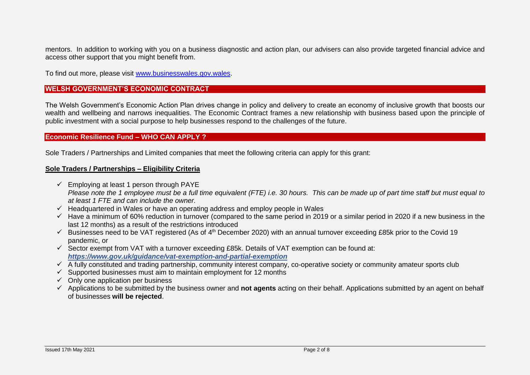mentors. In addition to working with you on a business diagnostic and action plan, our advisers can also provide targeted financial advice and access other support that you might benefit from.

To find out more, please visit [www.businesswales.gov.wales.](http://www.businesswales.gov.wales/)

#### **WELSH GOVERNMENT'S ECONOMIC CONTRACT**

The Welsh Government's Economic Action Plan drives change in policy and delivery to create an economy of inclusive growth that boosts our wealth and wellbeing and narrows inequalities. The Economic Contract frames a new relationship with business based upon the principle of public investment with a social purpose to help businesses respond to the challenges of the future.

#### **Economic Resilience Fund – WHO CAN APPLY ?**

Sole Traders / Partnerships and Limited companies that meet the following criteria can apply for this grant:

#### **Sole Traders / Partnerships – Eligibility Criteria**

- $\checkmark$  Employing at least 1 person through PAYE *Please note the 1 employee must be a full time equivalent (FTE) i.e. 30 hours. This can be made up of part time staff but must equal to at least 1 FTE and can include the owner.*
- $\checkmark$  Headquartered in Wales or have an operating address and employ people in Wales
- $\checkmark$  Have a minimum of 60% reduction in turnover (compared to the same period in 2019 or a similar period in 2020 if a new business in the last 12 months) as a result of the restrictions introduced
- $\checkmark$  Businesses need to be VAT registered (As of 4<sup>th</sup> December 2020) with an annual turnover exceeding £85k prior to the Covid 19 pandemic, or
- $\checkmark$  Sector exempt from VAT with a turnover exceeding £85k. Details of VAT exemption can be found at: *[https://www.gov.uk/guidance/vat-exemption-and-partial-exemption](https://eur01.safelinks.protection.outlook.com/?url=https%3A%2F%2Fwww.gov.uk%2Fguidance%2Fvat-exemption-and-partial-exemption&data=02%7C01%7CErica.Morgan%40gov.wales%7Ce9db94f413804678a32008d7e1f33171%7Ca2cc36c592804ae78887d06dab89216b%7C0%7C0%7C637226306924339266&sdata=Ree8bDShE0CMmfr%2BcmbEPkGF1Dz4Dhff0pFWIvG%2BxbE%3D&reserved=0)*
- $\overline{A}$  A fully constituted and trading partnership, community interest company, co-operative society or community amateur sports club
- $\checkmark$  Supported businesses must aim to maintain employment for 12 months
- $\checkmark$  Only one application per business
- Applications to be submitted by the business owner and **not agents** acting on their behalf. Applications submitted by an agent on behalf of businesses **will be rejected**.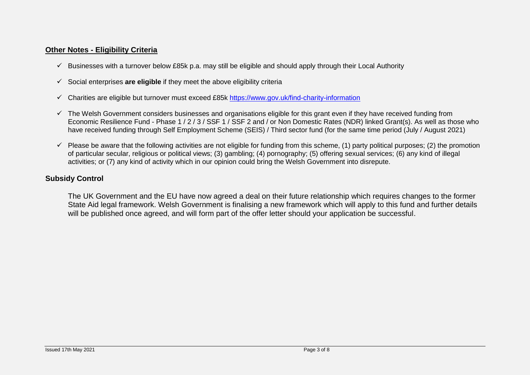## **Other Notes - Eligibility Criteria**

- Businesses with a turnover below £85k p.a. may still be eligible and should apply through their Local Authority
- Social enterprises **are eligible** if they meet the above eligibility criteria
- $\checkmark$  Charities are eligible but turnover must exceed £85k https://www.gov.uk/find-charity-information
- $\checkmark$  The Welsh Government considers businesses and organisations eligible for this grant even if they have received funding from Economic Resilience Fund - Phase 1/2/3/SSF 1/SSF 2 and / or Non Domestic Rates (NDR) linked Grant(s). As well as those who have received funding through Self Employment Scheme (SEIS) / Third sector fund (for the same time period (July / August 2021)
- $\checkmark$  Please be aware that the following activities are not eligible for funding from this scheme, (1) party political purposes; (2) the promotion of particular secular, religious or political views; (3) gambling; (4) pornography; (5) offering sexual services; (6) any kind of illegal activities; or (7) any kind of activity which in our opinion could bring the Welsh Government into disrepute.

# **Subsidy Control**

The UK Government and the EU have now agreed a deal on their future relationship which requires changes to the former State Aid legal framework. Welsh Government is finalising a new framework which will apply to this fund and further details will be published once agreed, and will form part of the offer letter should your application be successful.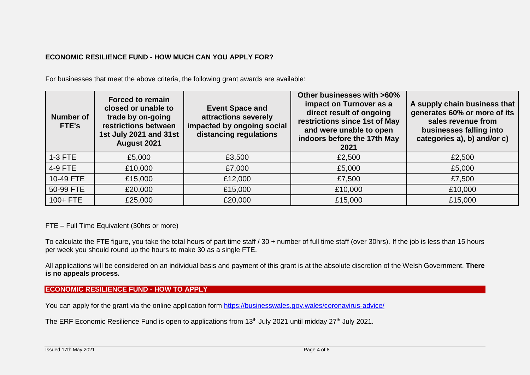## **ECONOMIC RESILIENCE FUND - HOW MUCH CAN YOU APPLY FOR?**

For businesses that meet the above criteria, the following grant awards are available:

| <b>Number of</b><br>FTE's | <b>Forced to remain</b><br>closed or unable to<br>trade by on-going<br>restrictions between<br>1st July 2021 and 31st<br>August 2021 | <b>Event Space and</b><br>attractions severely<br>impacted by ongoing social<br>distancing regulations | Other businesses with >60%<br>impact on Turnover as a<br>direct result of ongoing<br>restrictions since 1st of May<br>and were unable to open<br>indoors before the 17th May<br>2021 | A supply chain business that<br>generates 60% or more of its<br>sales revenue from<br>businesses falling into<br>categories a), b) and/or c) |
|---------------------------|--------------------------------------------------------------------------------------------------------------------------------------|--------------------------------------------------------------------------------------------------------|--------------------------------------------------------------------------------------------------------------------------------------------------------------------------------------|----------------------------------------------------------------------------------------------------------------------------------------------|
| $1-3$ FTE                 | £5,000                                                                                                                               | £3,500                                                                                                 | £2,500                                                                                                                                                                               | £2,500                                                                                                                                       |
| 4-9 FTE                   | £10,000                                                                                                                              | £7,000                                                                                                 | £5,000                                                                                                                                                                               | £5,000                                                                                                                                       |
| 10-49 FTE                 | £15,000                                                                                                                              | £12,000                                                                                                | £7,500                                                                                                                                                                               | £7,500                                                                                                                                       |
| 50-99 FTE                 | £20,000                                                                                                                              | £15,000                                                                                                | £10,000                                                                                                                                                                              | £10,000                                                                                                                                      |
| $100 + FTE$               | £25,000                                                                                                                              | £20,000                                                                                                | £15,000                                                                                                                                                                              | £15,000                                                                                                                                      |

FTE – Full Time Equivalent (30hrs or more)

To calculate the FTE figure, you take the total hours of part time staff / 30 + number of full time staff (over 30hrs). If the job is less than 15 hours per week you should round up the hours to make 30 as a single FTE.

All applications will be considered on an individual basis and payment of this grant is at the absolute discretion of the Welsh Government. **There is no appeals process.**

**ECONOMIC RESILIENCE FUND - HOW TO APPLY**

You can apply for the grant via the online application form <https://businesswales.gov.wales/coronavirus-advice/>

The ERF Economic Resilience Fund is open to applications from 13<sup>th</sup> July 2021 until midday 27<sup>th</sup> July 2021.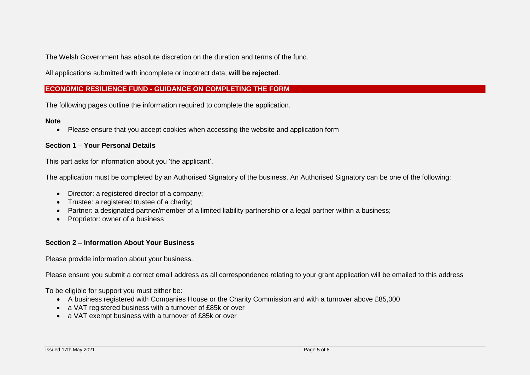The Welsh Government has absolute discretion on the duration and terms of the fund.

All applications submitted with incomplete or incorrect data, **will be rejected**.

## **ECONOMIC RESILIENCE FUND - GUIDANCE ON COMPLETING THE FORM**

The following pages outline the information required to complete the application.

#### **Note**

Please ensure that you accept cookies when accessing the website and application form

#### **Section 1** – **Your Personal Details**

This part asks for information about you 'the applicant'.

The application must be completed by an Authorised Signatory of the business. An Authorised Signatory can be one of the following:

- Director: a registered director of a company:
- Trustee: a registered trustee of a charity;
- Partner: a designated partner/member of a limited liability partnership or a legal partner within a business;
- Proprietor: owner of a business

#### **Section 2 – Information About Your Business**

Please provide information about your business.

Please ensure you submit a correct email address as all correspondence relating to your grant application will be emailed to this address

To be eligible for support you must either be:

- A business registered with Companies House or the Charity Commission and with a turnover above £85,000
- a VAT registered business with a turnover of £85k or over
- a VAT exempt business with a turnover of £85k or over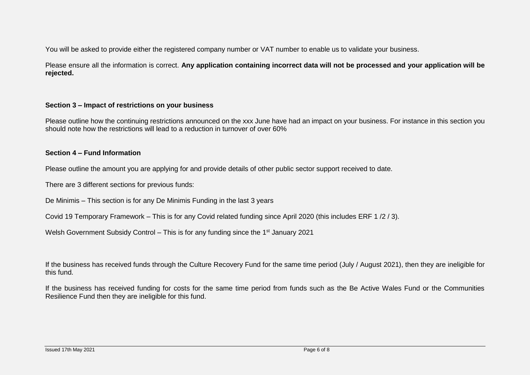You will be asked to provide either the registered company number or VAT number to enable us to validate your business.

Please ensure all the information is correct. **Any application containing incorrect data will not be processed and your application will be rejected.**

#### **Section 3 – Impact of restrictions on your business**

Please outline how the continuing restrictions announced on the xxx June have had an impact on your business. For instance in this section you should note how the restrictions will lead to a reduction in turnover of over 60%

#### **Section 4 – Fund Information**

Please outline the amount you are applying for and provide details of other public sector support received to date.

There are 3 different sections for previous funds:

De Minimis – This section is for any De Minimis Funding in the last 3 years

Covid 19 Temporary Framework – This is for any Covid related funding since April 2020 (this includes ERF 1 /2 / 3).

Welsh Government Subsidy Control – This is for any funding since the 1<sup>st</sup> January 2021

If the business has received funds through the Culture Recovery Fund for the same time period (July / August 2021), then they are ineligible for this fund.

If the business has received funding for costs for the same time period from funds such as the Be Active Wales Fund or the Communities Resilience Fund then they are ineligible for this fund.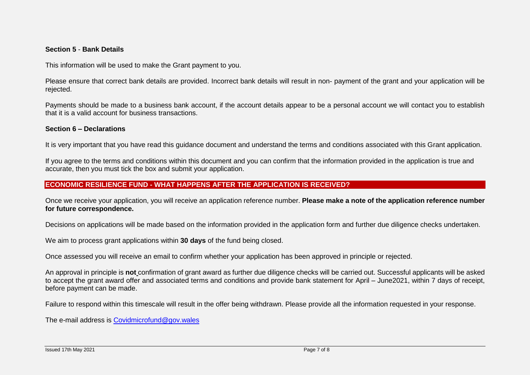#### **Section 5** - **Bank Details**

This information will be used to make the Grant payment to you.

Please ensure that correct bank details are provided. Incorrect bank details will result in non- payment of the grant and your application will be rejected.

Payments should be made to a business bank account, if the account details appear to be a personal account we will contact you to establish that it is a valid account for business transactions.

#### **Section 6 – Declarations**

It is very important that you have read this guidance document and understand the terms and conditions associated with this Grant application.

If you agree to the terms and conditions within this document and you can confirm that the information provided in the application is true and accurate, then you must tick the box and submit your application.

### **ECONOMIC RESILIENCE FUND - WHAT HAPPENS AFTER THE APPLICATION IS RECEIVED?**

Once we receive your application, you will receive an application reference number. **Please make a note of the application reference number for future correspondence.**

Decisions on applications will be made based on the information provided in the application form and further due diligence checks undertaken.

We aim to process grant applications within **30 days** of the fund being closed.

Once assessed you will receive an email to confirm whether your application has been approved in principle or rejected.

An approval in principle is **not** confirmation of grant award as further due diligence checks will be carried out. Successful applicants will be asked to accept the grant award offer and associated terms and conditions and provide bank statement for April – June2021, within 7 days of receipt, before payment can be made.

Failure to respond within this timescale will result in the offer being withdrawn. Please provide all the information requested in your response.

The e-mail address is [Covidmicrofund@gov.wales](mailto:Covidmicrofund@gov.wales)